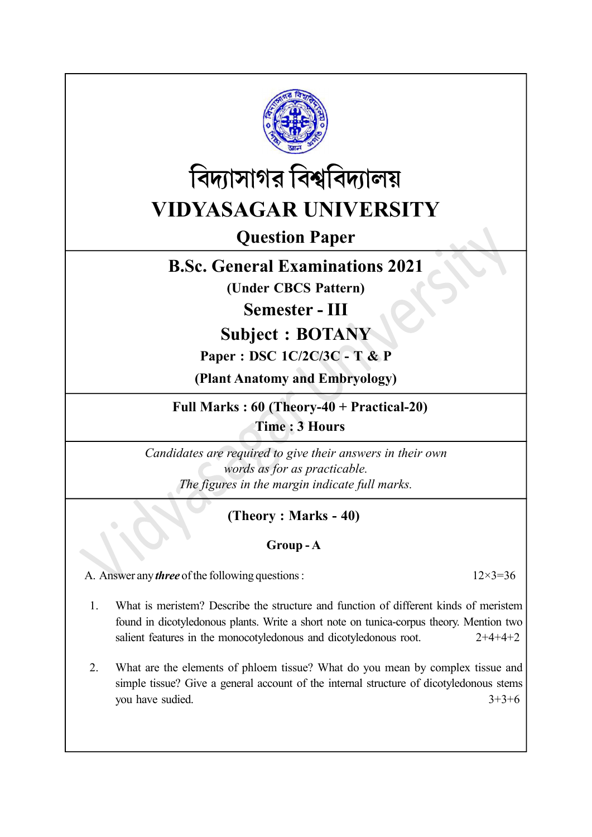



Question Paper

# B.Sc. General Examinations 2021

(Under CBCS Pattern)

Semester - III

Subject : BOTANY

# Paper : DSC 1C/2C/3C - T & P

(Plant Anatomy and Embryology)

Full Marks : 60 (Theory-40 + Practical-20) Time : 3 Hours

Candidates are required to give their answers in their own words as for as practicable. The figures in the margin indicate full marks.

# (Theory : Marks - 40)

## Group - A

A. Answer any *three* of the following questions :  $12 \times 3 = 36$ 

1. What is meristem? Describe the structure and function of different kinds of meristem found in dicotyledonous plants. Write a short note on tunica-corpus theory. Mention two salient features in the monocotyledonous and dicotyledonous root.  $2+4+4+2$ 

2. What are the elements of phloem tissue? What do you mean by complex tissue and simple tissue? Give a general account of the internal structure of dicotyledonous stems you have sudied.  $3+3+6$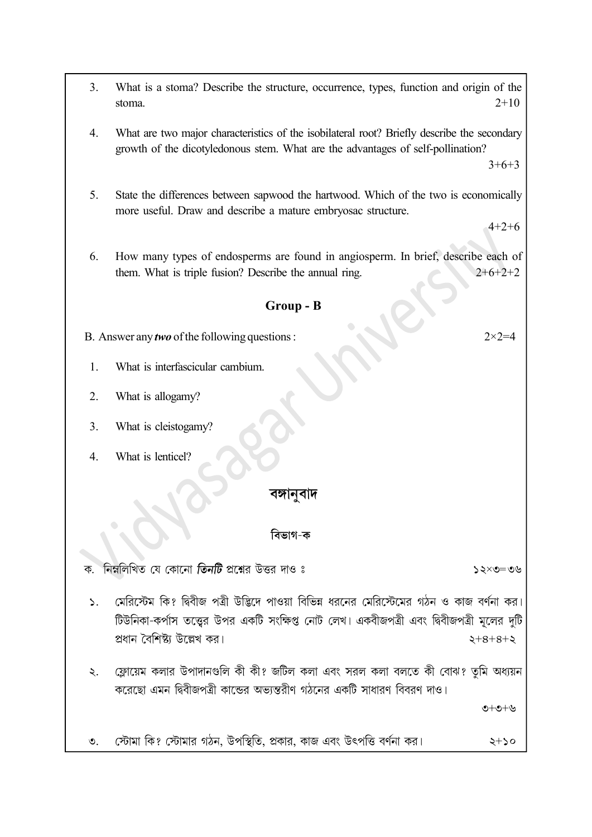- 3. What is a stoma? Describe the structure, occurrence, types, function and origin of the stoma.  $2+10$
- 4. What are two major characteristics of the isobilateral root? Briefly describe the secondary growth of the dicotyledonous stem. What are the advantages of self-pollination?

 $3+6+3$ 

5. State the differences between sapwood the hartwood. Which of the two is economically more useful. Draw and describe a mature embryosac structure.

 $4+2+6$ 

6. How many types of endosperms are found in angiosperm. In brief, describe each of them. What is triple fusion? Describe the annual ring.  $2+6+2+2$ 

#### Group - B

B. Answer any *two* of the following questions :  $2 \times 2 = 4$ 

- 1. What is interfascicular cambium.
- 2. What is allogamy?
- 3. What is cleistogamy?
- 4. What is lenticel?

#### বঙ্গানবাদ

#### বিভাগ-ক

নিম্নলিখিত যে কোনো **তিনটি** প্রশ্নের উত্তর দাও ঃ ক.  $y \in -0 \times 5$   $\zeta$ 

- মেরিস্টেম কি? দ্বিবীজ পত্রী উদ্ভিদে পাওয়া বিভিন্ন ধরনের মেরিস্টেমের গঠন ও কাজ বর্ণনা কর।  $\mathcal{L}$ . টিউনিকা-কর্পাস তত্ত্বের উপর একটি সংক্ষিপ্ত নোট লেখ। একবীজপত্রী এবং দ্বিবীজপত্রী মূলের দটি প্ৰধান বৈশিষ্ট্য উল্লেখ কব।  $2+8+8+2$
- ফ্লোয়েম কলার উপাদানগুলি কী কী? জটিল কলা এবং সরল কলা বলতে কী বোঝ? তমি অধ্যয়ন  $\ddot{\mathcal{L}}$ . করেছো এমন দ্বিবীজপত্রী কান্ডের অভান্তরীণ গঠনের একটি সাধারণ বিবরণ দাও।

ত $+$ ত $+$ ত

স্টোমা কি? স্টোমার গঠন, উপস্থিতি, প্রকার, কাজ এবং উৎপত্তি বর্ণনা কর।  $\mathcal{O}_1$  $2+20$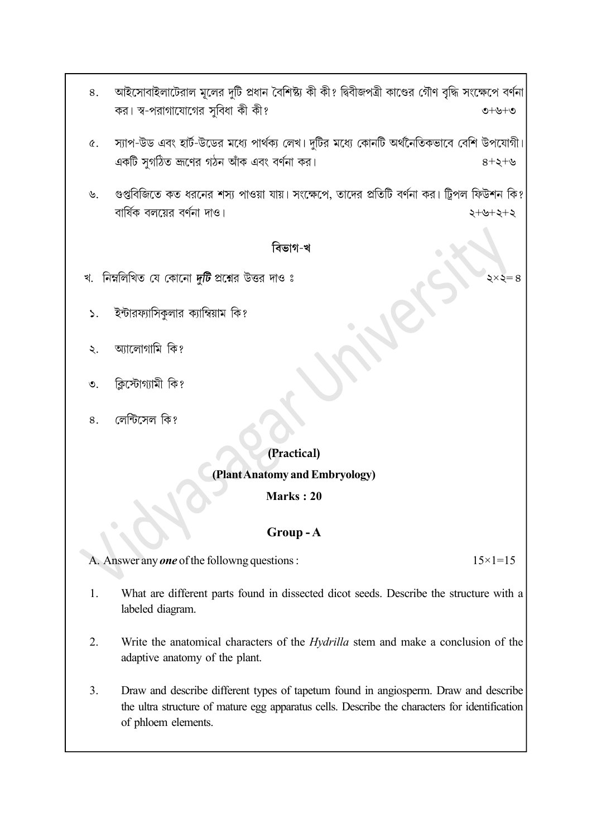- আইসোবাইলাটেরাল মূলের দুটি প্রধান বৈশিষ্ট্য কী কী? দ্বিবীজপত্রী কাণ্ডের গৌণ বৃদ্ধি সংক্ষেপে বর্ণনা 8. কর। স্ব-পরাগাযোগের সুবিধা কী কী?  $O+O+O$
- স্যাপ-উড এবং হার্ট-উডের মধ্যে পার্থক্য লেখ। দুটির মধ্যে কোনটি অর্থনৈতিকভাবে বেশি উপযোগী।  $\alpha$ . একটি সুগঠিত জ্রণের গঠন আঁক এবং বর্ণনা কর।  $8+5+8$
- গুপ্তবিজিতে কত ধরনের শস্য পাওয়া যায়। সংক্ষেপে, তাদের প্রতিটি বর্ণনা কর। ট্রিপল ফিউশন কি?  $\mathcal{Y}$ . বার্ষিক বলয়ের বর্ণনা দাও।  $5 + 5 + 6 + 5$

#### বিভাগ-খ

- খ. নিম্নলিখিত যে কোনো দুটি প্রশ্নের উত্তর দাও ঃ
- ইন্টারফ্যাসিকুলার ক্যাম্বিয়াম কি?  $\mathbf{S}$ .
- আলোগামি কি? ২.
- ক্লিস্টোগ্যামী কি?  $\mathcal{O}$ .
- লেন্টিসেল কি? 8.

## (Practical)

### (Plant Anatomy and Embryology)

#### Marks : 20

#### Group - A

A. Answer any **one** of the followng questions :  $15 \times 1 = 15$ 

- 1. What are different parts found in dissected dicot seeds. Describe the structure with a labeled diagram.
- 2. Write the anatomical characters of the *Hydrilla* stem and make a conclusion of the adaptive anatomy of the plant.
- 3. Draw and describe different types of tapetum found in angiosperm. Draw and describe the ultra structure of mature egg apparatus cells. Describe the characters for identification of phloem elements.

 $\times$   $=$